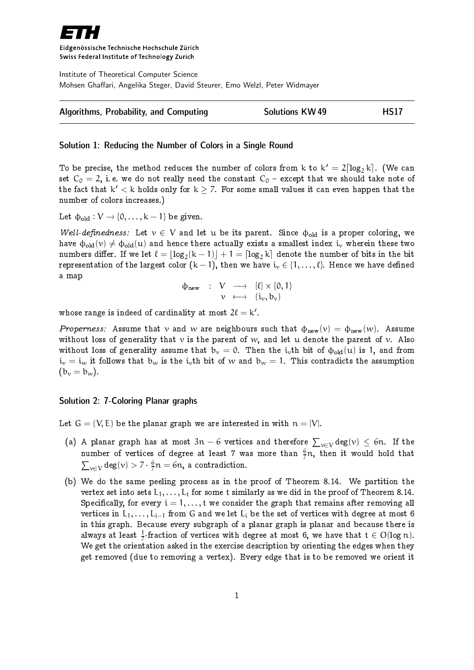

Eidgenössische Technische Hochschule Zürich Swiss Federal Institute of Technology Zurich

Institute of Theoretical Computer Science Mohsen Ghaffari, Angelika Steger, David Steurer, Emo Welzl, Peter Widmayer

| Algorithms, Probability, and Computing | <b>Solutions KW49</b> | <b>HS17</b> |
|----------------------------------------|-----------------------|-------------|
|----------------------------------------|-----------------------|-------------|

## Solution 1: Reducing the Number of Colors in a Single Round

To be precise, the method reduces the number of colors from k to  $k' = 2 \lceil \log_2 k \rceil$ . (We can set  $C_0 = 2$ , i.e. we do not really need the constant  $C_0$  – except that we should take note of the fact that  $k' < k$  holds only for  $k \geq 7$ . For some small values it can even happen that the number of colors increases.)

Let  $\phi_{old}: V \rightarrow \{0, \ldots, k-1\}$  be given.

Well-definedness: Let  $v \in V$  and let u be its parent. Since  $\phi_{old}$  is a proper coloring, we have  $\phi_{old}(v) \neq \phi_{old}(u)$  and hence there actually exists a smallest index i<sub>v</sub> wherein these two numbers differ. If we let  $\ell = \lfloor \log_2(k-1) \rfloor + 1 = \lceil \log_2 k \rceil$  denote the number of bits in the bit representation of the largest color  $(k-1)$ , then we have  $i_v \in \{1, ..., \ell\}$ . Hence we have defined a map

$$
\begin{array}{rccc}\varphi_{\text{new}}&:&V&\longrightarrow&[\ell]\times\{0,1\}\\ &v&\longmapsto&(i_v,b_v)\end{array}
$$

whose range is indeed of cardinality at most  $2\ell = \mathsf{k}'$ .

Properness: Assume that v and w are neighbours such that  $\phi_{\text{new}}(v) = \phi_{\text{new}}(w)$ . Assume without loss of generality that  $\nu$  is the parent of  $w$ , and let u denote the parent of  $\nu$ . Also without loss of generality assume that  $b_v = 0$ . Then the i<sub>v</sub>th bit of  $\phi_{old}(u)$  is 1, and from  $i_v = i_w$  it follows that  $b_w$  is the  $i_v$ th bit of w and  $b_w = 1$ . This contradicts the assumption  $(b_v = b_w)$ .

## Solution 2: 7-Coloring Planar graphs

Let  $G = (V, E)$  be the planar graph we are interested in with  $n = |V|$ .

- (a) A planar graph has at most  $3n 6$  vertices and therefore  $\sum_{v \in V} deg(v) \leq 6n$ . If the number of vertices of degree at least 7 was more than  $\frac{6}{7}$ n, then it would hold that  $\sum_{v \in V} \deg(v) > 7 \cdot \frac{6}{7}$  $\frac{6}{7}n = 6n$ , a contradiction.
- (b) We do the same peeling process as in the proof of Theorem 8.14. We partition the vertex set into sets  $L_1, \ldots, L_t$  for some t similarly as we did in the proof of Theorem 8.14. Specifically, for every  $i = 1, \ldots, t$  we consider the graph that remains after removing all vertices in  $L_1, \ldots, L_{i-1}$  from G and we let  $L_i$  be the set of vertices with degree at most 6 in this graph. Because every subgraph of a planar graph is planar and because there is always at least  $\frac{1}{7}$ -fraction of vertices with degree at most 6, we have that  $t \in O(\log n)$ . We get the orientation asked in the exercise description by orienting the edges when they get removed (due to removing a vertex). Every edge that is to be removed we orient it